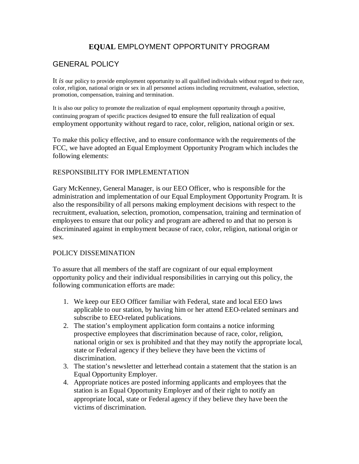# **EQUAL** EMPLOYMENT OPPORTUNITY PROGRAM

## GENERAL POLICY

It *is* our policy to provide employment opportunity to all qualified individuals without regard to their race, color, religion, national origin or sex in all personnel actions including recruitment, evaluation, selection, promotion, compensation, training and termination.

It is also our policy to promote the realization of equal employment opportunity through a positive, continuing program of specific practices designed to ensure the full realization of equal employment opportunity without regard to race, color, religion, national origin or sex.

To make this policy effective, and to ensure conformance with the requirements of the FCC, we have adopted an Equal Employment Opportunity Program which includes the following elements:

### RESPONSIBILITY FOR IMPLEMENTATION

Gary McKenney, General Manager, is our EEO Officer, who is responsible for the administration and implementation of our Equal Employment Opportunity Program. It is also the responsibility of all persons making employment decisions with respect to the recruitment, evaluation, selection, promotion, compensation, training and termination of employees to ensure that our policy and program are adhered to and that no person is discriminated against in employment because of race, color, religion, national origin or sex.

#### POLICY DISSEMINATION

To assure that all members of the staff are cognizant of our equal employment opportunity policy and their individual responsibilities in carrying out this policy, the following communication efforts are made:

- 1. We keep our EEO Officer familiar with Federal, state and local EEO laws applicable to our station, by having him or her attend EEO-related seminars and subscribe to EEO-related publications.
- 2. The station's employment application form contains a notice informing prospective employees that discrimination because of race, color, religion, national origin or sex is prohibited and that they may notify the appropriate local, state or Federal agency if they believe they have been the victims of discrimination.
- 3. The station's newsletter and letterhead contain a statement that the station is an Equal Opportunity Employer.
- 4. Appropriate notices are posted informing applicants and employees that the station is an Equal Opportunity Employer and of their right to notify an appropriate local, state or Federal agency if they believe they have been the victims of discrimination.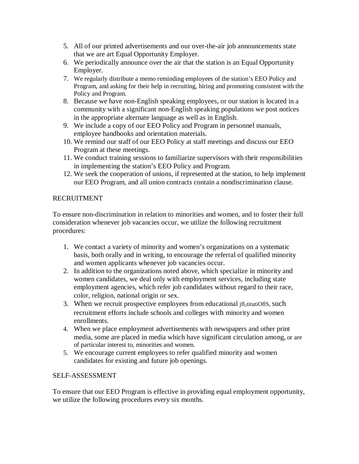- 5. All of our printed advertisements and our over-the-air job announcements state that we are art Equal Opportunity Employer.
- 6. We periodically announce over the air that the station is an Equal Opportunity Employer.
- 7. We regularly distribute a memo reminding employees of the station's EEO Policy and Program, and asking for their help in recruiting, hiring and promoting consistent with the Policy and Program.
- 8. Because we have non-English speaking employees, or our station is located in a community with a significant non-English speaking populations we post notices in the appropriate alternate language as well as in English.
- 9. We include a copy of our EEO Policy and Program in personnel manuals, employee handbooks and orientation materials.
- 10. We remind our staff of our EEO Policy at staff meetings and discuss our EEO Program at these meetings.
- 11. We conduct training sessions to familiarize supervisors with their responsibilities in implementing the station's EEO Policy and Program.
- 12. We seek the cooperation of unions, if represented at the station, to help implement our EEO Program, and all union contracts contain a nondiscrimination clause.

## RECRUITMENT

To ensure non-discrimination in relation to minorities and women, and to foster their full consideration whenever job vacancies occur, we utilize the following recruitment procedures:

- 1. We contact a variety of minority and women's organizations on a systematic basis, both orally and in writing, to encourage the referral of qualified minority and women applicants whenever job vacancies occur.
- 2. In addition to the organizations noted above, which specialize in minority and women candidates, we deal only with employment services, including state employment agencies, which refer job candidates without regard to their race, color, religion, national origin or sex.
- 3. When we recruit prospective employees from educational ifl<sub>5</sub>titutiOflS, such recruitment efforts include schools and colleges with minority and women enrollments.
- 4. When we place employment advertisements with newspapers and other print media, some are placed in media which have significant circulation among, or are of particular interest to, minorities and women.
- 5. We encourage current employees to refer qualified minority and women candidates for existing and future job openings.

## SELF-ASSESSMENT

To ensure that our EEO Program is effective in providing equal employment opportunity, we utilize the following procedures every six months.